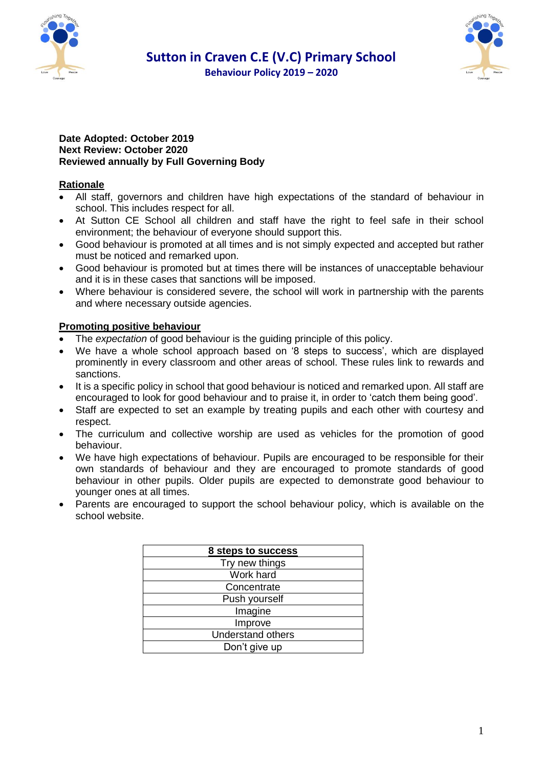





#### **Date Adopted: October 2019 Next Review: October 2020 Reviewed annually by Full Governing Body**

# **Rationale**

- All staff, governors and children have high expectations of the standard of behaviour in school. This includes respect for all.
- At Sutton CE School all children and staff have the right to feel safe in their school environment; the behaviour of everyone should support this.
- Good behaviour is promoted at all times and is not simply expected and accepted but rather must be noticed and remarked upon.
- Good behaviour is promoted but at times there will be instances of unacceptable behaviour and it is in these cases that sanctions will be imposed.
- Where behaviour is considered severe, the school will work in partnership with the parents and where necessary outside agencies.

# **Promoting positive behaviour**

- The *expectation* of good behaviour is the guiding principle of this policy.
- We have a whole school approach based on '8 steps to success', which are displayed prominently in every classroom and other areas of school. These rules link to rewards and sanctions.
- It is a specific policy in school that good behaviour is noticed and remarked upon. All staff are encouraged to look for good behaviour and to praise it, in order to 'catch them being good'.
- Staff are expected to set an example by treating pupils and each other with courtesy and respect.
- The curriculum and collective worship are used as vehicles for the promotion of good behaviour.
- We have high expectations of behaviour. Pupils are encouraged to be responsible for their own standards of behaviour and they are encouraged to promote standards of good behaviour in other pupils. Older pupils are expected to demonstrate good behaviour to younger ones at all times.
- Parents are encouraged to support the school behaviour policy, which is available on the school website.

| 8 steps to success       |
|--------------------------|
| Try new things           |
| Work hard                |
| Concentrate              |
| Push yourself            |
| Imagine                  |
| Improve                  |
| <b>Understand others</b> |
| Don't give up            |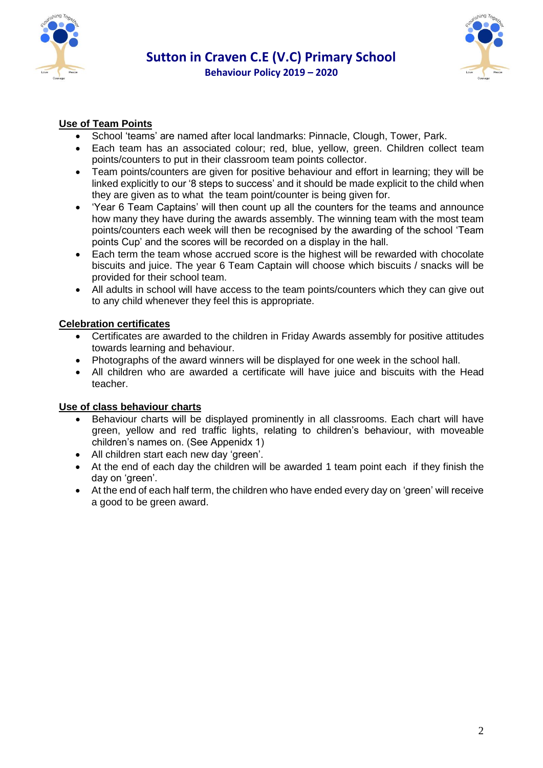



# **Use of Team Points**

- School 'teams' are named after local landmarks: Pinnacle, Clough, Tower, Park.
- Each team has an associated colour; red, blue, yellow, green. Children collect team points/counters to put in their classroom team points collector.
- Team points/counters are given for positive behaviour and effort in learning; they will be linked explicitly to our '8 steps to success' and it should be made explicit to the child when they are given as to what the team point/counter is being given for.
- 'Year 6 Team Captains' will then count up all the counters for the teams and announce how many they have during the awards assembly. The winning team with the most team points/counters each week will then be recognised by the awarding of the school 'Team points Cup' and the scores will be recorded on a display in the hall.
- Each term the team whose accrued score is the highest will be rewarded with chocolate biscuits and juice. The year 6 Team Captain will choose which biscuits / snacks will be provided for their school team.
- All adults in school will have access to the team points/counters which they can give out to any child whenever they feel this is appropriate.

#### **Celebration certificates**

- Certificates are awarded to the children in Friday Awards assembly for positive attitudes towards learning and behaviour.
- Photographs of the award winners will be displayed for one week in the school hall.
- All children who are awarded a certificate will have juice and biscuits with the Head teacher.

#### **Use of class behaviour charts**

- Behaviour charts will be displayed prominently in all classrooms. Each chart will have green, yellow and red traffic lights, relating to children's behaviour, with moveable children's names on. (See Appenidx 1)
- All children start each new day 'green'.
- At the end of each day the children will be awarded 1 team point each if they finish the day on 'green'.
- At the end of each half term, the children who have ended every day on 'green' will receive a good to be green award.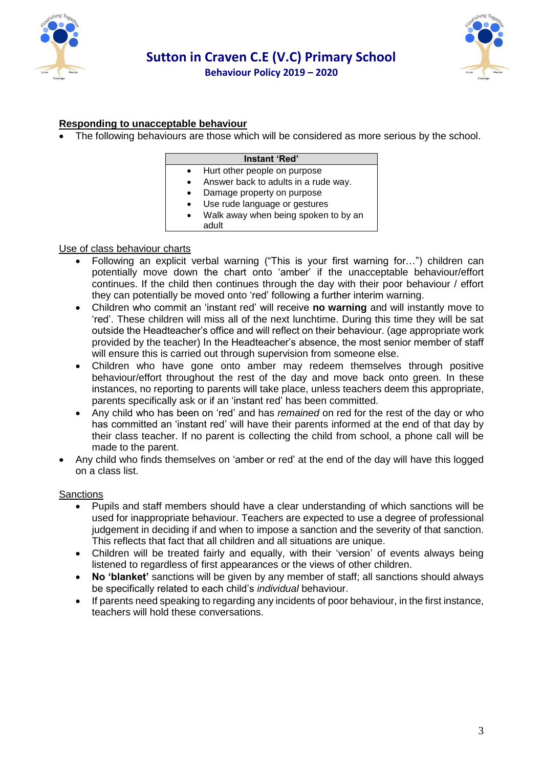



# **Responding to unacceptable behaviour**

The following behaviours are those which will be considered as more serious by the school.

|           | Instant 'Red'                        |
|-----------|--------------------------------------|
| $\bullet$ | Hurt other people on purpose         |
|           | Answer back to adults in a rude way. |
|           | Damage property on purpose           |
|           | Use rude language or gestures        |
|           | Walk away when being spoken to by an |
|           | adult                                |

#### Use of class behaviour charts

- Following an explicit verbal warning ("This is your first warning for…") children can potentially move down the chart onto 'amber' if the unacceptable behaviour/effort continues. If the child then continues through the day with their poor behaviour / effort they can potentially be moved onto 'red' following a further interim warning.
- Children who commit an 'instant red' will receive **no warning** and will instantly move to 'red'. These children will miss all of the next lunchtime. During this time they will be sat outside the Headteacher's office and will reflect on their behaviour. (age appropriate work provided by the teacher) In the Headteacher's absence, the most senior member of staff will ensure this is carried out through supervision from someone else.
- Children who have gone onto amber may redeem themselves through positive behaviour/effort throughout the rest of the day and move back onto green. In these instances, no reporting to parents will take place, unless teachers deem this appropriate, parents specifically ask or if an 'instant red' has been committed.
- Any child who has been on 'red' and has *remained* on red for the rest of the day or who has committed an 'instant red' will have their parents informed at the end of that day by their class teacher. If no parent is collecting the child from school, a phone call will be made to the parent.
- Any child who finds themselves on 'amber or red' at the end of the day will have this logged on a class list.

#### **Sanctions**

- Pupils and staff members should have a clear understanding of which sanctions will be used for inappropriate behaviour. Teachers are expected to use a degree of professional judgement in deciding if and when to impose a sanction and the severity of that sanction. This reflects that fact that all children and all situations are unique.
- Children will be treated fairly and equally, with their 'version' of events always being listened to regardless of first appearances or the views of other children.
- **No 'blanket'** sanctions will be given by any member of staff; all sanctions should always be specifically related to each child's *individual* behaviour.
- If parents need speaking to regarding any incidents of poor behaviour, in the first instance, teachers will hold these conversations.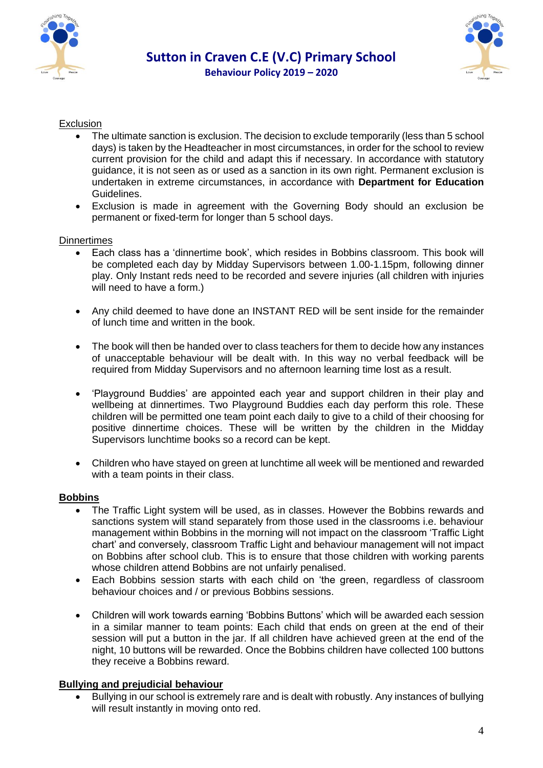



# **Sutton in Craven C.E (V.C) Primary School Behaviour Policy 2019 – 2020**

#### Exclusion

- The ultimate sanction is exclusion. The decision to exclude temporarily (less than 5 school days) is taken by the Headteacher in most circumstances, in order for the school to review current provision for the child and adapt this if necessary. In accordance with statutory guidance, it is not seen as or used as a sanction in its own right. Permanent exclusion is undertaken in extreme circumstances, in accordance with **Department for Education**  Guidelines.
- Exclusion is made in agreement with the Governing Body should an exclusion be permanent or fixed-term for longer than 5 school days.

#### **Dinnertimes**

- Each class has a 'dinnertime book', which resides in Bobbins classroom. This book will be completed each day by Midday Supervisors between 1.00-1.15pm, following dinner play. Only Instant reds need to be recorded and severe injuries (all children with injuries will need to have a form.)
- Any child deemed to have done an INSTANT RED will be sent inside for the remainder of lunch time and written in the book.
- The book will then be handed over to class teachers for them to decide how any instances of unacceptable behaviour will be dealt with. In this way no verbal feedback will be required from Midday Supervisors and no afternoon learning time lost as a result.
- 'Playground Buddies' are appointed each year and support children in their play and wellbeing at dinnertimes. Two Playground Buddies each day perform this role. These children will be permitted one team point each daily to give to a child of their choosing for positive dinnertime choices. These will be written by the children in the Midday Supervisors lunchtime books so a record can be kept.
- Children who have stayed on green at lunchtime all week will be mentioned and rewarded with a team points in their class.

#### **Bobbins**

- The Traffic Light system will be used, as in classes. However the Bobbins rewards and sanctions system will stand separately from those used in the classrooms i.e. behaviour management within Bobbins in the morning will not impact on the classroom 'Traffic Light chart' and conversely, classroom Traffic Light and behaviour management will not impact on Bobbins after school club. This is to ensure that those children with working parents whose children attend Bobbins are not unfairly penalised.
- Each Bobbins session starts with each child on 'the green, regardless of classroom behaviour choices and / or previous Bobbins sessions.
- Children will work towards earning 'Bobbins Buttons' which will be awarded each session in a similar manner to team points: Each child that ends on green at the end of their session will put a button in the jar. If all children have achieved green at the end of the night, 10 buttons will be rewarded. Once the Bobbins children have collected 100 buttons they receive a Bobbins reward.

#### **Bullying and prejudicial behaviour**

 Bullying in our school is extremely rare and is dealt with robustly. Any instances of bullying will result instantly in moving onto red.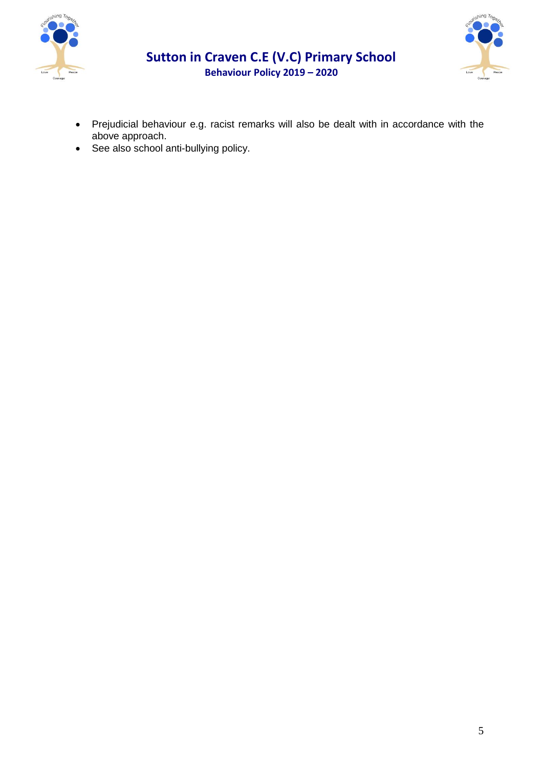



# **Sutton in Craven C.E (V.C) Primary School Behaviour Policy 2019 – 2020**

- Prejudicial behaviour e.g. racist remarks will also be dealt with in accordance with the above approach.
- See also school anti-bullying policy.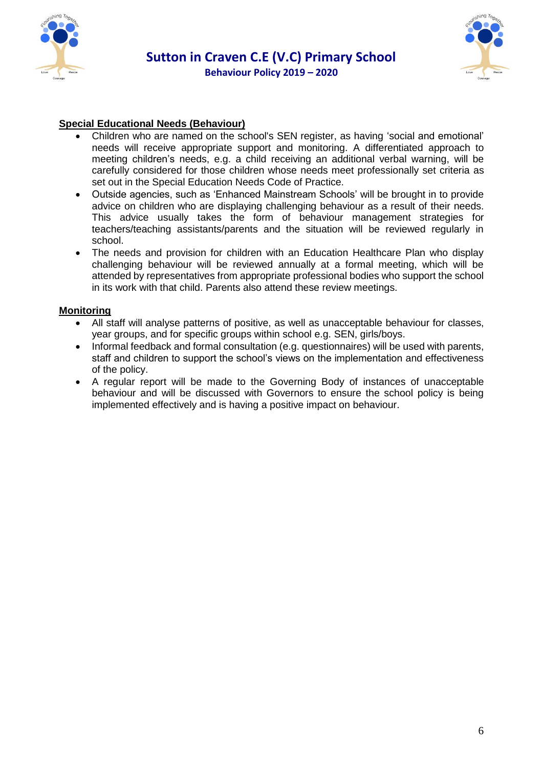



# **Special Educational Needs (Behaviour)**

- Children who are named on the school's SEN register, as having 'social and emotional' needs will receive appropriate support and monitoring. A differentiated approach to meeting children's needs, e.g. a child receiving an additional verbal warning, will be carefully considered for those children whose needs meet professionally set criteria as set out in the Special Education Needs Code of Practice.
- Outside agencies, such as 'Enhanced Mainstream Schools' will be brought in to provide advice on children who are displaying challenging behaviour as a result of their needs. This advice usually takes the form of behaviour management strategies for teachers/teaching assistants/parents and the situation will be reviewed regularly in school.
- The needs and provision for children with an Education Healthcare Plan who display challenging behaviour will be reviewed annually at a formal meeting, which will be attended by representatives from appropriate professional bodies who support the school in its work with that child. Parents also attend these review meetings.

#### **Monitoring**

- All staff will analyse patterns of positive, as well as unacceptable behaviour for classes, year groups, and for specific groups within school e.g. SEN, girls/boys.
- Informal feedback and formal consultation (e.g. questionnaires) will be used with parents, staff and children to support the school's views on the implementation and effectiveness of the policy.
- A regular report will be made to the Governing Body of instances of unacceptable behaviour and will be discussed with Governors to ensure the school policy is being implemented effectively and is having a positive impact on behaviour.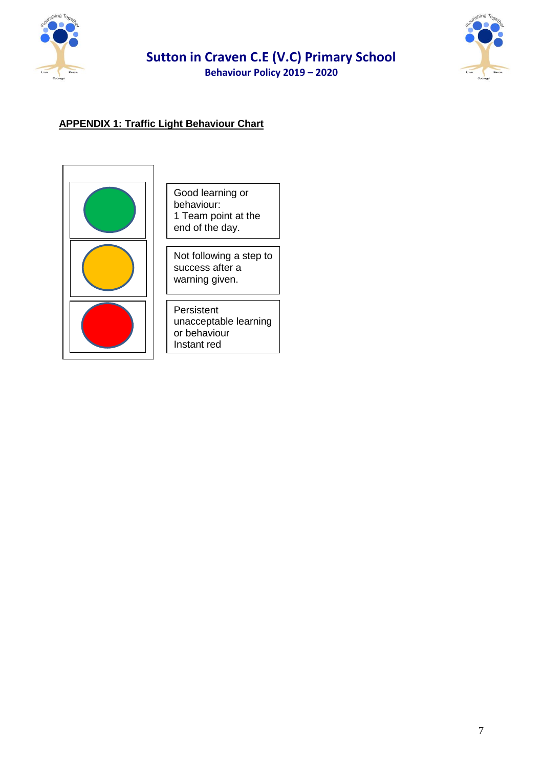

# **Sutton in Craven C.E (V.C) Primary School**

**Behaviour Policy 2019 – 2020** 



# **APPENDIX 1: Traffic Light Behaviour Chart**



Good learning or behaviour: 1 Team point at the end of the day.

Not following a step to success after a warning given.

Persistent unacceptable learning or behaviour Instant red

Instant Red Rule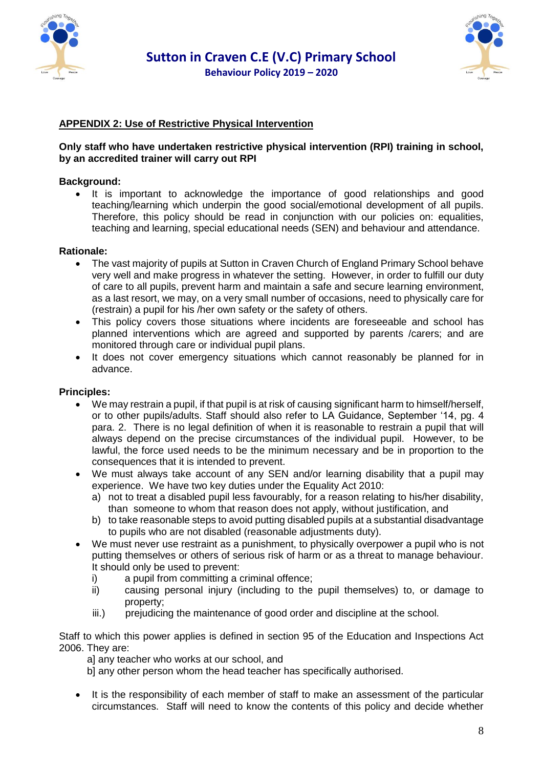



# **APPENDIX 2: Use of Restrictive Physical Intervention**

#### **Only staff who have undertaken restrictive physical intervention (RPI) training in school, by an accredited trainer will carry out RPI**

#### **Background:**

• It is important to acknowledge the importance of good relationships and good teaching/learning which underpin the good social/emotional development of all pupils. Therefore, this policy should be read in conjunction with our policies on: equalities, teaching and learning, special educational needs (SEN) and behaviour and attendance.

#### **Rationale:**

- The vast majority of pupils at Sutton in Craven Church of England Primary School behave very well and make progress in whatever the setting. However, in order to fulfill our duty of care to all pupils, prevent harm and maintain a safe and secure learning environment, as a last resort, we may, on a very small number of occasions, need to physically care for (restrain) a pupil for his /her own safety or the safety of others.
- This policy covers those situations where incidents are foreseeable and school has planned interventions which are agreed and supported by parents /carers; and are monitored through care or individual pupil plans.
- It does not cover emergency situations which cannot reasonably be planned for in advance.

#### **Principles:**

- We may restrain a pupil, if that pupil is at risk of causing significant harm to himself/herself, or to other pupils/adults. Staff should also refer to LA Guidance, September '14, pg. 4 para. 2. There is no legal definition of when it is reasonable to restrain a pupil that will always depend on the precise circumstances of the individual pupil. However, to be lawful, the force used needs to be the minimum necessary and be in proportion to the consequences that it is intended to prevent.
- We must always take account of any SEN and/or learning disability that a pupil may experience. We have two key duties under the Equality Act 2010:
	- a) not to treat a disabled pupil less favourably, for a reason relating to his/her disability, than someone to whom that reason does not apply, without justification, and
	- b) to take reasonable steps to avoid putting disabled pupils at a substantial disadvantage to pupils who are not disabled (reasonable adjustments duty).
- We must never use restraint as a punishment, to physically overpower a pupil who is not putting themselves or others of serious risk of harm or as a threat to manage behaviour. It should only be used to prevent:
	- i) a pupil from committing a criminal offence;
	- ii) causing personal injury (including to the pupil themselves) to, or damage to property;
	- iii.) prejudicing the maintenance of good order and discipline at the school.

Staff to which this power applies is defined in section 95 of the Education and Inspections Act 2006. They are:

al any teacher who works at our school, and

b] any other person whom the head teacher has specifically authorised.

• It is the responsibility of each member of staff to make an assessment of the particular circumstances. Staff will need to know the contents of this policy and decide whether